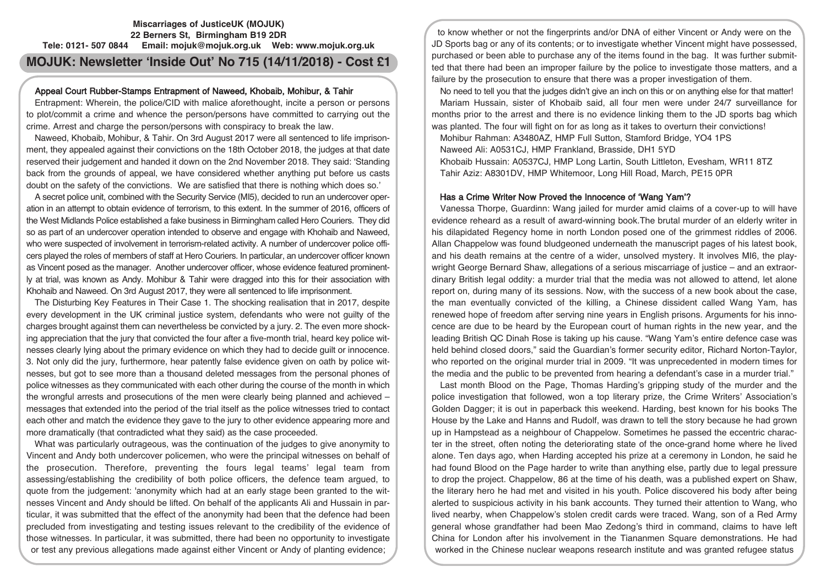# **Miscarriages of JusticeUK (MOJUK) 22 Berners St, Birmingham B19 2DR Tele: 0121- 507 0844 Email: mojuk@mojuk.org.uk Web: www.mojuk.org.uk**

# **MOJUK: Newsletter 'Inside Out' No 715 (14/11/2018) - Cost £1**

# Appeal Court Rubber-Stamps Entrapment of Naweed, Khobaib, Mohibur, & Tahir

Entrapment: Wherein, the police/CID with malice aforethought, incite a person or persons to plot/commit a crime and whence the person/persons have committed to carrying out the crime. Arrest and charge the person/persons with conspiracy to break the law.

Naweed, Khobaib, Mohibur, & Tahir. On 3rd August 2017 were all sentenced to life imprisonment, they appealed against their convictions on the 18th October 2018, the judges at that date reserved their judgement and handed it down on the 2nd November 2018. They said: 'Standing back from the grounds of appeal, we have considered whether anything put before us casts doubt on the safety of the convictions. We are satisfied that there is nothing which does so.'

A secret police unit, combined with the Security Service (MI5), decided to run an undercover operation in an attempt to obtain evidence of terrorism, to this extent. In the summer of 2016, officers of the West Midlands Police established a fake business in Birmingham called Hero Couriers. They did so as part of an undercover operation intended to observe and engage with Khohaib and Naweed, who were suspected of involvement in terrorism-related activity. A number of undercover police officers played the roles of members of staff at Hero Couriers. In particular, an undercover officer known as Vincent posed as the manager. Another undercover officer, whose evidence featured prominently at trial, was known as Andy. Mohibur & Tahir were dragged into this for their association with Khohaib and Naweed. On 3rd August 2017, they were all sentenced to life imprisonment.

The Disturbing Key Features in Their Case 1. The shocking realisation that in 2017, despite every development in the UK criminal justice system, defendants who were not guilty of the charges brought against them can nevertheless be convicted by a jury. 2. The even more shocking appreciation that the jury that convicted the four after a five-month trial, heard key police witnesses clearly lying about the primary evidence on which they had to decide guilt or innocence. 3. Not only did the jury, furthermore, hear patently false evidence given on oath by police witnesses, but got to see more than a thousand deleted messages from the personal phones of police witnesses as they communicated with each other during the course of the month in which the wrongful arrests and prosecutions of the men were clearly being planned and achieved – messages that extended into the period of the trial itself as the police witnesses tried to contact each other and match the evidence they gave to the jury to other evidence appearing more and more dramatically (that contradicted what they said) as the case proceeded.

What was particularly outrageous, was the continuation of the judges to give anonymity to Vincent and Andy both undercover policemen, who were the principal witnesses on behalf of the prosecution. Therefore, preventing the fours legal teams' legal team from assessing/establishing the credibility of both police officers, the defence team argued, to quote from the judgement: 'anonymity which had at an early stage been granted to the witnesses Vincent and Andy should be lifted. On behalf of the applicants Ali and Hussain in particular, it was submitted that the effect of the anonymity had been that the defence had been precluded from investigating and testing issues relevant to the credibility of the evidence of those witnesses. In particular, it was submitted, there had been no opportunity to investigate or test any previous allegations made against either Vincent or Andy of planting evidence;

to know whether or not the fingerprints and/or DNA of either Vincent or Andy were on the JD Sports bag or any of its contents; or to investigate whether Vincent might have possessed, purchased or been able to purchase any of the items found in the bag. It was further submitted that there had been an improper failure by the police to investigate those matters, and a failure by the prosecution to ensure that there was a proper investigation of them.

No need to tell you that the judges didn't give an inch on this or on anything else for that matter! Mariam Hussain, sister of Khobaib said, all four men were under 24/7 surveillance for months prior to the arrest and there is no evidence linking them to the JD sports bag which was planted. The four will fight on for as long as it takes to overturn their convictions!

Mohibur Rahman: A3480AZ, HMP Full Sutton, Stamford Bridge, YO4 1PS Naweed Ali: A0531CJ, HMP Frankland, Brasside, DH1 5YD Khobaib Hussain: A0537CJ, HMP Long Lartin, South Littleton, Evesham, WR11 8TZ Tahir Aziz: A8301DV, HMP Whitemoor, Long Hill Road, March, PE15 0PR

## Has a Crime Writer Now Proved the Innocence of 'Wang Yam'?

Vanessa Thorpe, Guardinn: Wang jailed for murder amid claims of a cover-up to will have evidence reheard as a result of award-winning book.The brutal murder of an elderly writer in his dilapidated Regency home in north London posed one of the grimmest riddles of 2006. Allan Chappelow was found bludgeoned underneath the manuscript pages of his latest book, and his death remains at the centre of a wider, unsolved mystery. It involves MI6, the playwright George Bernard Shaw, allegations of a serious miscarriage of justice – and an extraordinary British legal oddity: a murder trial that the media was not allowed to attend, let alone report on, during many of its sessions. Now, with the success of a new book about the case, the man eventually convicted of the killing, a Chinese dissident called Wang Yam, has renewed hope of freedom after serving nine years in English prisons. Arguments for his innocence are due to be heard by the European court of human rights in the new year, and the leading British QC Dinah Rose is taking up his cause. "Wang Yam's entire defence case was held behind closed doors," said the Guardian's former security editor, Richard Norton-Taylor, who reported on the original murder trial in 2009. "It was unprecedented in modern times for the media and the public to be prevented from hearing a defendant's case in a murder trial."

Last month Blood on the Page, Thomas Harding's gripping study of the murder and the police investigation that followed, won a top literary prize, the Crime Writers' Association's Golden Dagger; it is out in paperback this weekend. Harding, best known for his books The House by the Lake and Hanns and Rudolf, was drawn to tell the story because he had grown up in Hampstead as a neighbour of Chappelow. Sometimes he passed the eccentric character in the street, often noting the deteriorating state of the once-grand home where he lived alone. Ten days ago, when Harding accepted his prize at a ceremony in London, he said he had found Blood on the Page harder to write than anything else, partly due to legal pressure to drop the project. Chappelow, 86 at the time of his death, was a published expert on Shaw, the literary hero he had met and visited in his youth. Police discovered his body after being alerted to suspicious activity in his bank accounts. They turned their attention to Wang, who lived nearby, when Chappelow's stolen credit cards were traced. Wang, son of a Red Army general whose grandfather had been Mao Zedong's third in command, claims to have left China for London after his involvement in the Tiananmen Square demonstrations. He had worked in the Chinese nuclear weapons research institute and was granted refugee status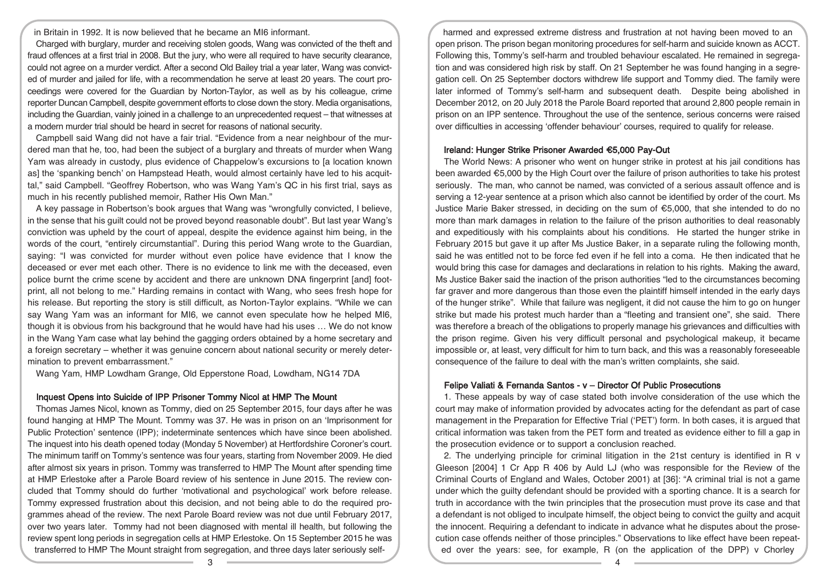in Britain in 1992. It is now believed that he became an MI6 informant.

Charged with burglary, murder and receiving stolen goods, Wang was convicted of the theft and fraud offences at a first trial in 2008. But the jury, who were all required to have security clearance, could not agree on a murder verdict. After a second Old Bailey trial a year later, Wang was convicted of murder and jailed for life, with a recommendation he serve at least 20 years. The court proceedings were covered for the Guardian by Norton-Taylor, as well as by his colleague, crime reporter Duncan Campbell, despite government efforts to close down the story. Media organisations, including the Guardian, vainly joined in a challenge to an unprecedented request – that witnesses at a modern murder trial should be heard in secret for reasons of national security.

Campbell said Wang did not have a fair trial. "Evidence from a near neighbour of the murdered man that he, too, had been the subject of a burglary and threats of murder when Wang Yam was already in custody, plus evidence of Chappelow's excursions to [a location known as] the 'spanking bench' on Hampstead Heath, would almost certainly have led to his acquittal," said Campbell. "Geoffrey Robertson, who was Wang Yam's QC in his first trial, says as much in his recently published memoir, Rather His Own Man."

A key passage in Robertson's book argues that Wang was "wrongfully convicted, I believe, in the sense that his guilt could not be proved beyond reasonable doubt". But last year Wang's conviction was upheld by the court of appeal, despite the evidence against him being, in the words of the court, "entirely circumstantial". During this period Wang wrote to the Guardian, saying: "I was convicted for murder without even police have evidence that I know the deceased or ever met each other. There is no evidence to link me with the deceased, even police burnt the crime scene by accident and there are unknown DNA fingerprint [and] footprint, all not belong to me." Harding remains in contact with Wang, who sees fresh hope for his release. But reporting the story is still difficult, as Norton-Taylor explains. "While we can say Wang Yam was an informant for MI6, we cannot even speculate how he helped MI6, though it is obvious from his background that he would have had his uses … We do not know in the Wang Yam case what lay behind the gagging orders obtained by a home secretary and a foreign secretary – whether it was genuine concern about national security or merely determination to prevent embarrassment."

Wang Yam, HMP Lowdham Grange, Old Epperstone Road, Lowdham, NG14 7DA

## Inquest Opens into Suicide of IPP Prisoner Tommy Nicol at HMP The Mount

Thomas James Nicol, known as Tommy, died on 25 September 2015, four days after he was found hanging at HMP The Mount. Tommy was 37. He was in prison on an 'Imprisonment for Public Protection' sentence (IPP); indeterminate sentences which have since been abolished. The inquest into his death opened today (Monday 5 November) at Hertfordshire Coroner's court. The minimum tariff on Tommy's sentence was four years, starting from November 2009. He died after almost six years in prison. Tommy was transferred to HMP The Mount after spending time at HMP Erlestoke after a Parole Board review of his sentence in June 2015. The review concluded that Tommy should do further 'motivational and psychological' work before release. Tommy expressed frustration about this decision, and not being able to do the required programmes ahead of the review. The next Parole Board review was not due until February 2017, over two years later. Tommy had not been diagnosed with mental ill health, but following the review spent long periods in segregation cells at HMP Erlestoke. On 15 September 2015 he was transferred to HMP The Mount straight from segregation, and three days later seriously self-

harmed and expressed extreme distress and frustration at not having been moved to an open prison. The prison began monitoring procedures for self-harm and suicide known as ACCT. Following this, Tommy's self-harm and troubled behaviour escalated. He remained in segregation and was considered high risk by staff. On 21 September he was found hanging in a segregation cell. On 25 September doctors withdrew life support and Tommy died. The family were later informed of Tommy's self-harm and subsequent death. Despite being abolished in December 2012, on 20 July 2018 the Parole Board reported that around 2,800 people remain in prison on an IPP sentence. Throughout the use of the sentence, serious concerns were raised over difficulties in accessing 'offender behaviour' courses, required to qualify for release.

#### Ireland: Hunger Strike Prisoner Awarded €5,000 Pay-Out

The World News: A prisoner who went on hunger strike in protest at his jail conditions has been awarded €5,000 by the High Court over the failure of prison authorities to take his protest seriously. The man, who cannot be named, was convicted of a serious assault offence and is serving a 12-year sentence at a prison which also cannot be identified by order of the court. Ms Justice Marie Baker stressed, in deciding on the sum of €5,000, that she intended to do no more than mark damages in relation to the failure of the prison authorities to deal reasonably and expeditiously with his complaints about his conditions. He started the hunger strike in February 2015 but gave it up after Ms Justice Baker, in a separate ruling the following month, said he was entitled not to be force fed even if he fell into a coma. He then indicated that he would bring this case for damages and declarations in relation to his rights. Making the award, Ms Justice Baker said the inaction of the prison authorities "led to the circumstances becoming far graver and more dangerous than those even the plaintiff himself intended in the early days of the hunger strike". While that failure was negligent, it did not cause the him to go on hunger strike but made his protest much harder than a "fleeting and transient one", she said. There was therefore a breach of the obligations to properly manage his grievances and difficulties with the prison regime. Given his very difficult personal and psychological makeup, it became impossible or, at least, very difficult for him to turn back, and this was a reasonably foreseeable consequence of the failure to deal with the man's written complaints, she said.

#### Felipe Valiati & Fernanda Santos - v – Director Of Public Prosecutions

1. These appeals by way of case stated both involve consideration of the use which the court may make of information provided by advocates acting for the defendant as part of case management in the Preparation for Effective Trial ('PET') form. In both cases, it is argued that critical information was taken from the PET form and treated as evidence either to fill a gap in the prosecution evidence or to support a conclusion reached.

2. The underlying principle for criminal litigation in the 21st century is identified in R v Gleeson [2004] 1 Cr App R 406 by Auld LJ (who was responsible for the Review of the Criminal Courts of England and Wales, October 2001) at [36]: "A criminal trial is not a game under which the guilty defendant should be provided with a sporting chance. It is a search for truth in accordance with the twin principles that the prosecution must prove its case and that a defendant is not obliged to inculpate himself, the object being to convict the guilty and acquit the innocent. Requiring a defendant to indicate in advance what he disputes about the prosecution case offends neither of those principles." Observations to like effect have been repeated over the years: see, for example, R (on the application of the DPP) v Chorley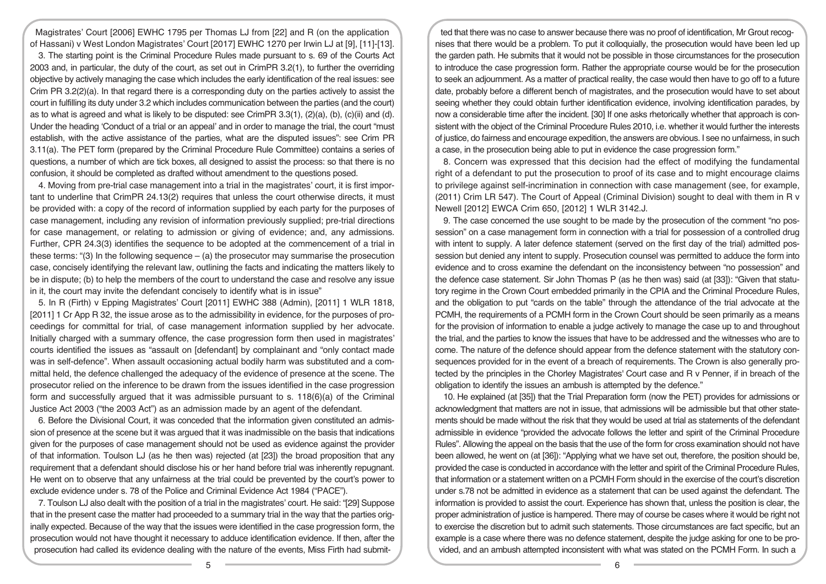Magistrates' Court [2006] EWHC 1795 per Thomas LJ from [22] and R (on the application of Hassani) v West London Magistrates' Court [2017] EWHC 1270 per Irwin LJ at [9], [11]-[13].

3. The starting point is the Criminal Procedure Rules made pursuant to s. 69 of the Courts Act 2003 and, in particular, the duty of the court, as set out in CrimPR 3.2(1), to further the overriding objective by actively managing the case which includes the early identification of the real issues: see Crim PR 3.2(2)(a). In that regard there is a corresponding duty on the parties actively to assist the court in fulfilling its duty under 3.2 which includes communication between the parties (and the court) as to what is agreed and what is likely to be disputed: see CrimPR 3.3(1), (2)(a), (b), (c)(ii) and (d). Under the heading 'Conduct of a trial or an appeal' and in order to manage the trial, the court "must establish, with the active assistance of the parties, what are the disputed issues": see Crim PR 3.11(a). The PET form (prepared by the Criminal Procedure Rule Committee) contains a series of questions, a number of which are tick boxes, all designed to assist the process: so that there is no confusion, it should be completed as drafted without amendment to the questions posed.

4. Moving from pre-trial case management into a trial in the magistrates' court, it is first important to underline that CrimPR 24.13(2) requires that unless the court otherwise directs, it must be provided with: a copy of the record of information supplied by each party for the purposes of case management, including any revision of information previously supplied; pre-trial directions for case management, or relating to admission or giving of evidence; and, any admissions. Further, CPR 24.3(3) identifies the sequence to be adopted at the commencement of a trial in these terms: "(3) In the following sequence – (a) the prosecutor may summarise the prosecution case, concisely identifying the relevant law, outlining the facts and indicating the matters likely to be in dispute; (b) to help the members of the court to understand the case and resolve any issue in it, the court may invite the defendant concisely to identify what is in issue"

5. In R (Firth) v Epping Magistrates' Court [2011] EWHC 388 (Admin), [2011] 1 WLR 1818, [2011] 1 Cr App R 32, the issue arose as to the admissibility in evidence, for the purposes of proceedings for committal for trial, of case management information supplied by her advocate. Initially charged with a summary offence, the case progression form then used in magistrates' courts identified the issues as "assault on [defendant] by complainant and "only contact made was in self-defence". When assault occasioning actual bodily harm was substituted and a committal held, the defence challenged the adequacy of the evidence of presence at the scene. The prosecutor relied on the inference to be drawn from the issues identified in the case progression form and successfully argued that it was admissible pursuant to s. 118(6)(a) of the Criminal Justice Act 2003 ("the 2003 Act") as an admission made by an agent of the defendant.

6. Before the Divisional Court, it was conceded that the information given constituted an admission of presence at the scene but it was argued that it was inadmissible on the basis that indications given for the purposes of case management should not be used as evidence against the provider of that information. Toulson LJ (as he then was) rejected (at [23]) the broad proposition that any requirement that a defendant should disclose his or her hand before trial was inherently repugnant. He went on to observe that any unfairness at the trial could be prevented by the court's power to exclude evidence under s. 78 of the Police and Criminal Evidence Act 1984 ("PACE").

7. Toulson LJ also dealt with the position of a trial in the magistrates' court. He said: "[29] Suppose that in the present case the matter had proceeded to a summary trial in the way that the parties originally expected. Because of the way that the issues were identified in the case progression form, the prosecution would not have thought it necessary to adduce identification evidence. If then, after the prosecution had called its evidence dealing with the nature of the events, Miss Firth had submit-

ted that there was no case to answer because there was no proof of identification, Mr Grout recognises that there would be a problem. To put it colloquially, the prosecution would have been led up the garden path. He submits that it would not be possible in those circumstances for the prosecution to introduce the case progression form. Rather the appropriate course would be for the prosecution to seek an adjournment. As a matter of practical reality, the case would then have to go off to a future date, probably before a different bench of magistrates, and the prosecution would have to set about seeing whether they could obtain further identification evidence, involving identification parades, by now a considerable time after the incident. [30] If one asks rhetorically whether that approach is consistent with the object of the Criminal Procedure Rules 2010, i.e. whether it would further the interests of justice, do fairness and encourage expedition, the answers are obvious. I see no unfairness, in such a case, in the prosecution being able to put in evidence the case progression form."

8. Concern was expressed that this decision had the effect of modifying the fundamental right of a defendant to put the prosecution to proof of its case and to might encourage claims to privilege against self-incrimination in connection with case management (see, for example, (2011) Crim LR 547). The Court of Appeal (Criminal Division) sought to deal with them in R v Newell [2012] EWCA Crim 650, [2012] 1 WLR 3142.J.

9. The case concerned the use sought to be made by the prosecution of the comment "no possession" on a case management form in connection with a trial for possession of a controlled drug with intent to supply. A later defence statement (served on the first day of the trial) admitted possession but denied any intent to supply. Prosecution counsel was permitted to adduce the form into evidence and to cross examine the defendant on the inconsistency between "no possession" and the defence case statement. Sir John Thomas P (as he then was) said (at [33]): "Given that statutory regime in the Crown Court embedded primarily in the CPIA and the Criminal Procedure Rules, and the obligation to put "cards on the table" through the attendance of the trial advocate at the PCMH, the requirements of a PCMH form in the Crown Court should be seen primarily as a means for the provision of information to enable a judge actively to manage the case up to and throughout the trial, and the parties to know the issues that have to be addressed and the witnesses who are to come. The nature of the defence should appear from the defence statement with the statutory consequences provided for in the event of a breach of requirements. The Crown is also generally protected by the principles in the Chorley Magistrates' Court case and R v Penner, if in breach of the obligation to identify the issues an ambush is attempted by the defence."

10. He explained (at [35]) that the Trial Preparation form (now the PET) provides for admissions or acknowledgment that matters are not in issue, that admissions will be admissible but that other statements should be made without the risk that they would be used at trial as statements of the defendant admissible in evidence "provided the advocate follows the letter and spirit of the Criminal Procedure Rules". Allowing the appeal on the basis that the use of the form for cross examination should not have been allowed, he went on (at [36]): "Applying what we have set out, therefore, the position should be, provided the case is conducted in accordance with the letter and spirit of the Criminal Procedure Rules, that information or a statement written on a PCMH Form should in the exercise of the court's discretion under s.78 not be admitted in evidence as a statement that can be used against the defendant. The information is provided to assist the court. Experience has shown that, unless the position is clear, the proper administration of justice is hampered. There may of course be cases where it would be right not to exercise the discretion but to admit such statements. Those circumstances are fact specific, but an example is a case where there was no defence statement, despite the judge asking for one to be provided, and an ambush attempted inconsistent with what was stated on the PCMH Form. In such a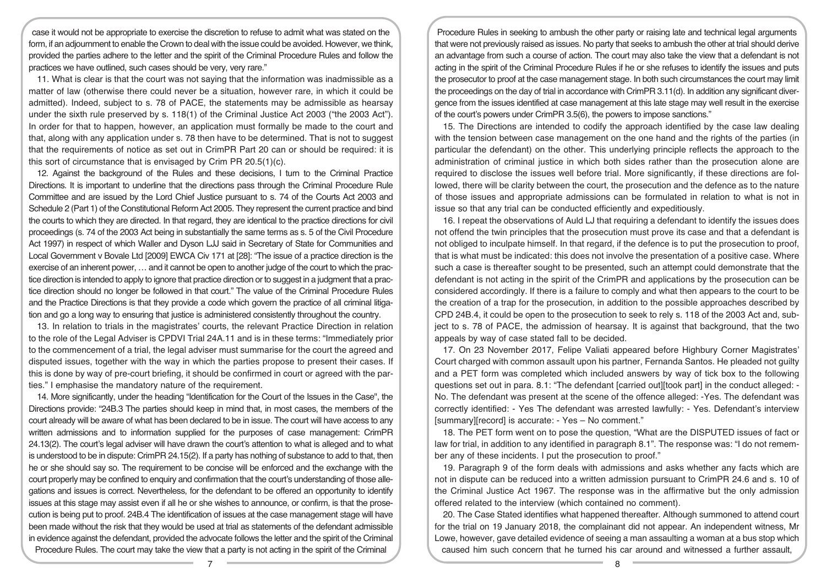case it would not be appropriate to exercise the discretion to refuse to admit what was stated on the form, if an adjournment to enable the Crown to deal with the issue could be avoided. However, we think, provided the parties adhere to the letter and the spirit of the Criminal Procedure Rules and follow the practices we have outlined, such cases should be very, very rare."

11. What is clear is that the court was not saying that the information was inadmissible as a matter of law (otherwise there could never be a situation, however rare, in which it could be admitted). Indeed, subject to s. 78 of PACE, the statements may be admissible as hearsay under the sixth rule preserved by s. 118(1) of the Criminal Justice Act 2003 ("the 2003 Act"). In order for that to happen, however, an application must formally be made to the court and that, along with any application under s. 78 then have to be determined. That is not to suggest that the requirements of notice as set out in CrimPR Part 20 can or should be required: it is this sort of circumstance that is envisaged by Crim PR 20.5(1)(c).

12. Against the background of the Rules and these decisions, I turn to the Criminal Practice Directions. It is important to underline that the directions pass through the Criminal Procedure Rule Committee and are issued by the Lord Chief Justice pursuant to s. 74 of the Courts Act 2003 and Schedule 2 (Part 1) of the Constitutional Reform Act 2005. They represent the current practice and bind the courts to which they are directed. In that regard, they are identical to the practice directions for civil proceedings (s. 74 of the 2003 Act being in substantially the same terms as s. 5 of the Civil Procedure Act 1997) in respect of which Waller and Dyson LJJ said in Secretary of State for Communities and Local Government v Bovale Ltd [2009] EWCA Civ 171 at [28]: "The issue of a practice direction is the exercise of an inherent power, … and it cannot be open to another judge of the court to which the practice direction is intended to apply to ignore that practice direction or to suggest in a judgment that a practice direction should no longer be followed in that court." The value of the Criminal Procedure Rules and the Practice Directions is that they provide a code which govern the practice of all criminal litigation and go a long way to ensuring that justice is administered consistently throughout the country.

13. In relation to trials in the magistrates' courts, the relevant Practice Direction in relation to the role of the Legal Adviser is CPDVI Trial 24A.11 and is in these terms: "Immediately prior to the commencement of a trial, the legal adviser must summarise for the court the agreed and disputed issues, together with the way in which the parties propose to present their cases. If this is done by way of pre-court briefing, it should be confirmed in court or agreed with the parties." I emphasise the mandatory nature of the requirement.

14. More significantly, under the heading "Identification for the Court of the Issues in the Case", the Directions provide: "24B.3 The parties should keep in mind that, in most cases, the members of the court already will be aware of what has been declared to be in issue. The court will have access to any written admissions and to information supplied for the purposes of case management: CrimPR 24.13(2). The court's legal adviser will have drawn the court's attention to what is alleged and to what is understood to be in dispute: CrimPR 24.15(2). If a party has nothing of substance to add to that, then he or she should say so. The requirement to be concise will be enforced and the exchange with the court properly may be confined to enquiry and confirmation that the court's understanding of those allegations and issues is correct. Nevertheless, for the defendant to be offered an opportunity to identify issues at this stage may assist even if all he or she wishes to announce, or confirm, is that the prosecution is being put to proof. 24B.4 The identification of issues at the case management stage will have been made without the risk that they would be used at trial as statements of the defendant admissible in evidence against the defendant, provided the advocate follows the letter and the spirit of the Criminal Procedure Rules. The court may take the view that a party is not acting in the spirit of the Criminal

Procedure Rules in seeking to ambush the other party or raising late and technical legal arguments that were not previously raised as issues. No party that seeks to ambush the other at trial should derive an advantage from such a course of action. The court may also take the view that a defendant is not acting in the spirit of the Criminal Procedure Rules if he or she refuses to identify the issues and puts the prosecutor to proof at the case management stage. In both such circumstances the court may limit the proceedings on the day of trial in accordance with CrimPR 3.11(d). In addition any significant divergence from the issues identified at case management at this late stage may well result in the exercise of the court's powers under CrimPR 3.5(6), the powers to impose sanctions."

15. The Directions are intended to codify the approach identified by the case law dealing with the tension between case management on the one hand and the rights of the parties (in particular the defendant) on the other. This underlying principle reflects the approach to the administration of criminal justice in which both sides rather than the prosecution alone are required to disclose the issues well before trial. More significantly, if these directions are followed, there will be clarity between the court, the prosecution and the defence as to the nature of those issues and appropriate admissions can be formulated in relation to what is not in issue so that any trial can be conducted efficiently and expeditiously.

16. I repeat the observations of Auld LJ that requiring a defendant to identify the issues does not offend the twin principles that the prosecution must prove its case and that a defendant is not obliged to inculpate himself. In that regard, if the defence is to put the prosecution to proof, that is what must be indicated: this does not involve the presentation of a positive case. Where such a case is thereafter sought to be presented, such an attempt could demonstrate that the defendant is not acting in the spirit of the CrimPR and applications by the prosecution can be considered accordingly. If there is a failure to comply and what then appears to the court to be the creation of a trap for the prosecution, in addition to the possible approaches described by CPD 24B.4, it could be open to the prosecution to seek to rely s. 118 of the 2003 Act and, subject to s. 78 of PACE, the admission of hearsay. It is against that background, that the two appeals by way of case stated fall to be decided.

17. On 23 November 2017, Felipe Valiati appeared before Highbury Corner Magistrates' Court charged with common assault upon his partner, Fernanda Santos. He pleaded not guilty and a PET form was completed which included answers by way of tick box to the following questions set out in para. 8.1: "The defendant [carried out][took part] in the conduct alleged: - No. The defendant was present at the scene of the offence alleged: -Yes. The defendant was correctly identified: - Yes The defendant was arrested lawfully: - Yes. Defendant's interview [summary][record] is accurate: - Yes – No comment."

18. The PET form went on to pose the question, "What are the DISPUTED issues of fact or law for trial, in addition to any identified in paragraph 8.1". The response was: "I do not remember any of these incidents. I put the prosecution to proof."

19. Paragraph 9 of the form deals with admissions and asks whether any facts which are not in dispute can be reduced into a written admission pursuant to CrimPR 24.6 and s. 10 of the Criminal Justice Act 1967. The response was in the affirmative but the only admission offered related to the interview (which contained no comment).

20. The Case Stated identifies what happened thereafter. Although summoned to attend court for the trial on 19 January 2018, the complainant did not appear. An independent witness, Mr Lowe, however, gave detailed evidence of seeing a man assaulting a woman at a bus stop which caused him such concern that he turned his car around and witnessed a further assault,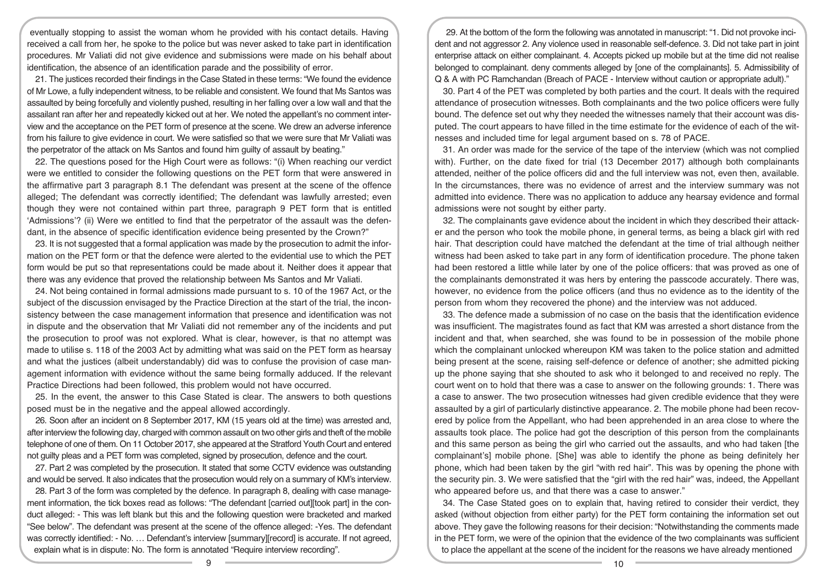eventually stopping to assist the woman whom he provided with his contact details. Having received a call from her, he spoke to the police but was never asked to take part in identification procedures. Mr Valiati did not give evidence and submissions were made on his behalf about identification, the absence of an identification parade and the possibility of error.

21. The justices recorded their findings in the Case Stated in these terms: "We found the evidence of Mr Lowe, a fully independent witness, to be reliable and consistent. We found that Ms Santos was assaulted by being forcefully and violently pushed, resulting in her falling over a low wall and that the assailant ran after her and repeatedly kicked out at her. We noted the appellant's no comment interview and the acceptance on the PET form of presence at the scene. We drew an adverse inference from his failure to give evidence in court. We were satisfied so that we were sure that Mr Valiati was the perpetrator of the attack on Ms Santos and found him guilty of assault by beating."

22. The questions posed for the High Court were as follows: "(i) When reaching our verdict were we entitled to consider the following questions on the PET form that were answered in the affirmative part 3 paragraph 8.1 The defendant was present at the scene of the offence alleged; The defendant was correctly identified; The defendant was lawfully arrested; even though they were not contained within part three, paragraph 9 PET form that is entitled 'Admissions'? (ii) Were we entitled to find that the perpetrator of the assault was the defendant, in the absence of specific identification evidence being presented by the Crown?"

23. It is not suggested that a formal application was made by the prosecution to admit the information on the PET form or that the defence were alerted to the evidential use to which the PET form would be put so that representations could be made about it. Neither does it appear that there was any evidence that proved the relationship between Ms Santos and Mr Valiati.

24. Not being contained in formal admissions made pursuant to s. 10 of the 1967 Act, or the subject of the discussion envisaged by the Practice Direction at the start of the trial, the inconsistency between the case management information that presence and identification was not in dispute and the observation that Mr Valiati did not remember any of the incidents and put the prosecution to proof was not explored. What is clear, however, is that no attempt was made to utilise s. 118 of the 2003 Act by admitting what was said on the PET form as hearsay and what the justices (albeit understandably) did was to confuse the provision of case management information with evidence without the same being formally adduced. If the relevant Practice Directions had been followed, this problem would not have occurred.

25. In the event, the answer to this Case Stated is clear. The answers to both questions posed must be in the negative and the appeal allowed accordingly.

26. Soon after an incident on 8 September 2017, KM (15 years old at the time) was arrested and, after interview the following day, charged with common assault on two other girls and theft of the mobile telephone of one of them. On 11 October 2017, she appeared at the Stratford Youth Court and entered not guilty pleas and a PET form was completed, signed by prosecution, defence and the court.

27. Part 2 was completed by the prosecution. It stated that some CCTV evidence was outstanding and would be served. It also indicates that the prosecution would rely on a summary of KM's interview.

28. Part 3 of the form was completed by the defence. In paragraph 8, dealing with case management information, the tick boxes read as follows: "The defendant [carried out][took part] in the conduct alleged: - This was left blank but this and the following question were bracketed and marked "See below". The defendant was present at the scene of the offence alleged: -Yes. The defendant was correctly identified: - No. ... Defendant's interview [summary][record] is accurate. If not agreed, explain what is in dispute: No. The form is annotated "Require interview recording".

29. At the bottom of the form the following was annotated in manuscript: "1. Did not provoke incident and not aggressor 2. Any violence used in reasonable self-defence. 3. Did not take part in joint enterprise attack on either complainant. 4. Accepts picked up mobile but at the time did not realise belonged to complainant. deny comments alleged by [one of the complainants]. 5. Admissibility of Q & A with PC Ramchandan (Breach of PACE - Interview without caution or appropriate adult)."

30. Part 4 of the PET was completed by both parties and the court. It deals with the required attendance of prosecution witnesses. Both complainants and the two police officers were fully bound. The defence set out why they needed the witnesses namely that their account was disputed. The court appears to have filled in the time estimate for the evidence of each of the witnesses and included time for legal argument based on s. 78 of PACE.

31. An order was made for the service of the tape of the interview (which was not complied with). Further, on the date fixed for trial (13 December 2017) although both complainants attended, neither of the police officers did and the full interview was not, even then, available. In the circumstances, there was no evidence of arrest and the interview summary was not admitted into evidence. There was no application to adduce any hearsay evidence and formal admissions were not sought by either party.

32. The complainants gave evidence about the incident in which they described their attacker and the person who took the mobile phone, in general terms, as being a black girl with red hair. That description could have matched the defendant at the time of trial although neither witness had been asked to take part in any form of identification procedure. The phone taken had been restored a little while later by one of the police officers: that was proved as one of the complainants demonstrated it was hers by entering the passcode accurately. There was, however, no evidence from the police officers (and thus no evidence as to the identity of the person from whom they recovered the phone) and the interview was not adduced.

33. The defence made a submission of no case on the basis that the identification evidence was insufficient. The magistrates found as fact that KM was arrested a short distance from the incident and that, when searched, she was found to be in possession of the mobile phone which the complainant unlocked whereupon KM was taken to the police station and admitted being present at the scene, raising self-defence or defence of another; she admitted picking up the phone saying that she shouted to ask who it belonged to and received no reply. The court went on to hold that there was a case to answer on the following grounds: 1. There was a case to answer. The two prosecution witnesses had given credible evidence that they were assaulted by a girl of particularly distinctive appearance. 2. The mobile phone had been recovered by police from the Appellant, who had been apprehended in an area close to where the assaults took place. The police had got the description of this person from the complainants and this same person as being the girl who carried out the assaults, and who had taken [the complainant's] mobile phone. [She] was able to identify the phone as being definitely her phone, which had been taken by the girl "with red hair". This was by opening the phone with the security pin. 3. We were satisfied that the "girl with the red hair" was, indeed, the Appellant who appeared before us, and that there was a case to answer."

34. The Case Stated goes on to explain that, having retired to consider their verdict, they asked (without objection from either party) for the PET form containing the information set out above. They gave the following reasons for their decision: "Notwithstanding the comments made in the PET form, we were of the opinion that the evidence of the two complainants was sufficient to place the appellant at the scene of the incident for the reasons we have already mentioned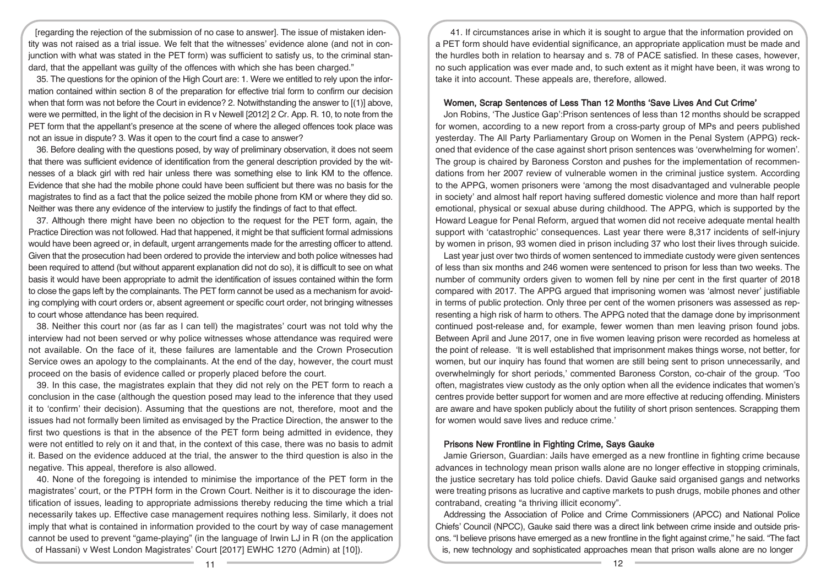[regarding the rejection of the submission of no case to answer]. The issue of mistaken identity was not raised as a trial issue. We felt that the witnesses' evidence alone (and not in conjunction with what was stated in the PET form) was sufficient to satisfy us, to the criminal standard, that the appellant was guilty of the offences with which she has been charged."

35. The questions for the opinion of the High Court are: 1. Were we entitled to rely upon the information contained within section 8 of the preparation for effective trial form to confirm our decision when that form was not before the Court in evidence? 2. Notwithstanding the answer to [(1)] above, were we permitted, in the light of the decision in R v Newell [2012] 2 Cr. App. R. 10, to note from the PET form that the appellant's presence at the scene of where the alleged offences took place was not an issue in dispute? 3. Was it open to the court find a case to answer?

36. Before dealing with the questions posed, by way of preliminary observation, it does not seem that there was sufficient evidence of identification from the general description provided by the witnesses of a black girl with red hair unless there was something else to link KM to the offence. Evidence that she had the mobile phone could have been sufficient but there was no basis for the magistrates to find as a fact that the police seized the mobile phone from KM or where they did so. Neither was there any evidence of the interview to justify the findings of fact to that effect.

37. Although there might have been no objection to the request for the PET form, again, the Practice Direction was not followed. Had that happened, it might be that sufficient formal admissions would have been agreed or, in default, urgent arrangements made for the arresting officer to attend. Given that the prosecution had been ordered to provide the interview and both police witnesses had been required to attend (but without apparent explanation did not do so), it is difficult to see on what basis it would have been appropriate to admit the identification of issues contained within the form to close the gaps left by the complainants. The PET form cannot be used as a mechanism for avoiding complying with court orders or, absent agreement or specific court order, not bringing witnesses to court whose attendance has been required.

38. Neither this court nor (as far as I can tell) the magistrates' court was not told why the interview had not been served or why police witnesses whose attendance was required were not available. On the face of it, these failures are lamentable and the Crown Prosecution Service owes an apology to the complainants. At the end of the day, however, the court must proceed on the basis of evidence called or properly placed before the court.

39. In this case, the magistrates explain that they did not rely on the PET form to reach a conclusion in the case (although the question posed may lead to the inference that they used it to 'confirm' their decision). Assuming that the questions are not, therefore, moot and the issues had not formally been limited as envisaged by the Practice Direction, the answer to the first two questions is that in the absence of the PET form being admitted in evidence, they were not entitled to rely on it and that, in the context of this case, there was no basis to admit it. Based on the evidence adduced at the trial, the answer to the third question is also in the negative. This appeal, therefore is also allowed.

40. None of the foregoing is intended to minimise the importance of the PET form in the magistrates' court, or the PTPH form in the Crown Court. Neither is it to discourage the identification of issues, leading to appropriate admissions thereby reducing the time which a trial necessarily takes up. Effective case management requires nothing less. Similarly, it does not imply that what is contained in information provided to the court by way of case management cannot be used to prevent "game-playing" (in the language of Irwin LJ in R (on the application of Hassani) v West London Magistrates' Court [2017] EWHC 1270 (Admin) at [10]).

41. If circumstances arise in which it is sought to argue that the information provided on a PET form should have evidential significance, an appropriate application must be made and the hurdles both in relation to hearsay and s. 78 of PACE satisfied. In these cases, however, no such application was ever made and, to such extent as it might have been, it was wrong to take it into account. These appeals are, therefore, allowed.

## Women, Scrap Sentences of Less Than 12 Months 'Save Lives And Cut Crime'

Jon Robins, 'The Justice Gap':Prison sentences of less than 12 months should be scrapped for women, according to a new report from a cross-party group of MPs and peers published yesterday. The All Party Parliamentary Group on Women in the Penal System (APPG) reckoned that evidence of the case against short prison sentences was 'overwhelming for women'. The group is chaired by Baroness Corston and pushes for the implementation of recommendations from her 2007 review of vulnerable women in the criminal justice system. According to the APPG, women prisoners were 'among the most disadvantaged and vulnerable people in society' and almost half report having suffered domestic violence and more than half report emotional, physical or sexual abuse during childhood. The APPG, which is supported by the Howard League for Penal Reform, argued that women did not receive adequate mental health support with 'catastrophic' consequences. Last year there were 8,317 incidents of self-injury by women in prison, 93 women died in prison including 37 who lost their lives through suicide.

Last year just over two thirds of women sentenced to immediate custody were given sentences of less than six months and 246 women were sentenced to prison for less than two weeks. The number of community orders given to women fell by nine per cent in the first quarter of 2018 compared with 2017. The APPG argued that imprisoning women was 'almost never' justifiable in terms of public protection. Only three per cent of the women prisoners was assessed as representing a high risk of harm to others. The APPG noted that the damage done by imprisonment continued post-release and, for example, fewer women than men leaving prison found jobs. Between April and June 2017, one in five women leaving prison were recorded as homeless at the point of release. 'It is well established that imprisonment makes things worse, not better, for women, but our inquiry has found that women are still being sent to prison unnecessarily, and overwhelmingly for short periods,' commented Baroness Corston, co-chair of the group. 'Too often, magistrates view custody as the only option when all the evidence indicates that women's centres provide better support for women and are more effective at reducing offending. Ministers are aware and have spoken publicly about the futility of short prison sentences. Scrapping them for women would save lives and reduce crime.'

## Prisons New Frontline in Fighting Crime, Says Gauke

Jamie Grierson, Guardian: Jails have emerged as a new frontline in fighting crime because advances in technology mean prison walls alone are no longer effective in stopping criminals, the justice secretary has told police chiefs. David Gauke said organised gangs and networks were treating prisons as lucrative and captive markets to push drugs, mobile phones and other contraband, creating "a thriving illicit economy".

Addressing the Association of Police and Crime Commissioners (APCC) and National Police Chiefs' Council (NPCC), Gauke said there was a direct link between crime inside and outside prisons. "I believe prisons have emerged as a new frontline in the fight against crime," he said. "The fact is, new technology and sophisticated approaches mean that prison walls alone are no longer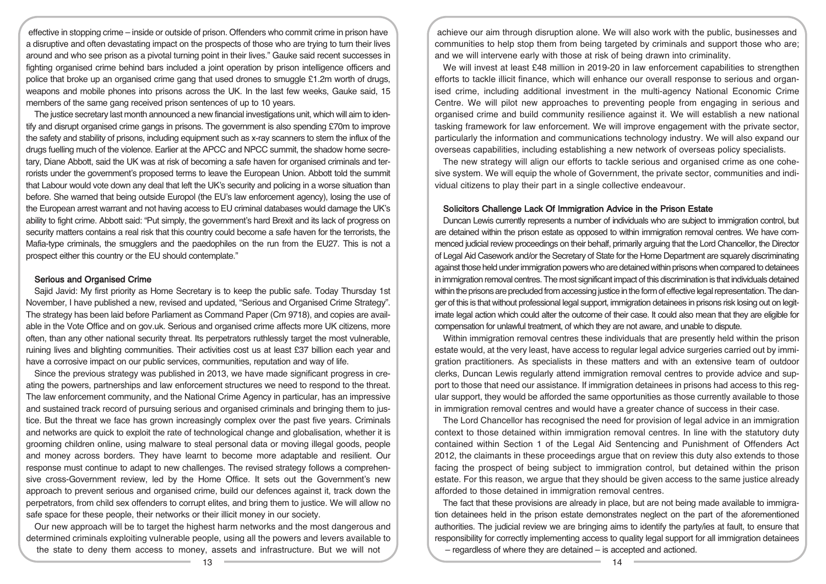effective in stopping crime – inside or outside of prison. Offenders who commit crime in prison have a disruptive and often devastating impact on the prospects of those who are trying to turn their lives around and who see prison as a pivotal turning point in their lives." Gauke said recent successes in fighting organised crime behind bars included a joint operation by prison intelligence officers and police that broke up an organised crime gang that used drones to smuggle £1.2m worth of drugs, weapons and mobile phones into prisons across the UK. In the last few weeks, Gauke said, 15 members of the same gang received prison sentences of up to 10 years.

The justice secretary last month announced a new financial investigations unit, which will aim to identify and disrupt organised crime gangs in prisons. The government is also spending £70m to improve the safety and stability of prisons, including equipment such as x-ray scanners to stem the influx of the drugs fuelling much of the violence. Earlier at the APCC and NPCC summit, the shadow home secretary, Diane Abbott, said the UK was at risk of becoming a safe haven for organised criminals and terrorists under the government's proposed terms to leave the European Union. Abbott told the summit that Labour would vote down any deal that left the UK's security and policing in a worse situation than before. She warned that being outside Europol (the EU's law enforcement agency), losing the use of the European arrest warrant and not having access to EU criminal databases would damage the UK's ability to fight crime. Abbott said: "Put simply, the government's hard Brexit and its lack of progress on security matters contains a real risk that this country could become a safe haven for the terrorists, the Mafia-type criminals, the smugglers and the paedophiles on the run from the EU27. This is not a prospect either this country or the EU should contemplate."

## Serious and Organised Crime

Sajid Javid: My first priority as Home Secretary is to keep the public safe. Today Thursday 1st November, I have published a new, revised and updated, "Serious and Organised Crime Strategy". The strategy has been laid before Parliament as Command Paper (Cm 9718), and copies are available in the Vote Office and on gov.uk. Serious and organised crime affects more UK citizens, more often, than any other national security threat. Its perpetrators ruthlessly target the most vulnerable, ruining lives and blighting communities. Their activities cost us at least £37 billion each year and have a corrosive impact on our public services, communities, reputation and way of life.

Since the previous strategy was published in 2013, we have made significant progress in creating the powers, partnerships and law enforcement structures we need to respond to the threat. The law enforcement community, and the National Crime Agency in particular, has an impressive and sustained track record of pursuing serious and organised criminals and bringing them to justice. But the threat we face has grown increasingly complex over the past five years. Criminals and networks are quick to exploit the rate of technological change and globalisation, whether it is grooming children online, using malware to steal personal data or moving illegal goods, people and money across borders. They have learnt to become more adaptable and resilient. Our response must continue to adapt to new challenges. The revised strategy follows a comprehensive cross-Government review, led by the Home Office. It sets out the Government's new approach to prevent serious and organised crime, build our defences against it, track down the perpetrators, from child sex offenders to corrupt elites, and bring them to justice. We will allow no safe space for these people, their networks or their illicit money in our society.

Our new approach will be to target the highest harm networks and the most dangerous and determined criminals exploiting vulnerable people, using all the powers and levers available to the state to deny them access to money, assets and infrastructure. But we will not

achieve our aim through disruption alone. We will also work with the public, businesses and communities to help stop them from being targeted by criminals and support those who are; and we will intervene early with those at risk of being drawn into criminality.

We will invest at least £48 million in 2019-20 in law enforcement capabilities to strengthen efforts to tackle illicit finance, which will enhance our overall response to serious and organised crime, including additional investment in the multi-agency National Economic Crime Centre. We will pilot new approaches to preventing people from engaging in serious and organised crime and build community resilience against it. We will establish a new national tasking framework for law enforcement. We will improve engagement with the private sector, particularly the information and communications technology industry. We will also expand our overseas capabilities, including establishing a new network of overseas policy specialists.

The new strategy will align our efforts to tackle serious and organised crime as one cohesive system. We will equip the whole of Government, the private sector, communities and individual citizens to play their part in a single collective endeavour.

#### Solicitors Challenge Lack Of Immigration Advice in the Prison Estate

Duncan Lewis currently represents a number of individuals who are subject to immigration control, but are detained within the prison estate as opposed to within immigration removal centres. We have commenced judicial review proceedings on their behalf, primarily arguing that the Lord Chancellor, the Director of Legal Aid Casework and/or the Secretary of State for the Home Department are squarely discriminating against those held under immigration powers who are detained within prisons when compared to detainees in immigration removal centres.The most significant impact of this discrimination is that individuals detained within the prisons are precluded from accessing justice in the form of effective legal representation. The danger of this is that without professional legal support, immigration detainees in prisons risk losing out on legitimate legal action which could alter the outcome of their case. It could also mean that they are eligible for compensation for unlawful treatment, of which they are not aware, and unable to dispute.

Within immigration removal centres these individuals that are presently held within the prison estate would, at the very least, have access to regular legal advice surgeries carried out by immigration practitioners. As specialists in these matters and with an extensive team of outdoor clerks, Duncan Lewis regularly attend immigration removal centres to provide advice and support to those that need our assistance. If immigration detainees in prisons had access to this regular support, they would be afforded the same opportunities as those currently available to those in immigration removal centres and would have a greater chance of success in their case.

The Lord Chancellor has recognised the need for provision of legal advice in an immigration context to those detained within immigration removal centres. In line with the statutory duty contained within Section 1 of the Legal Aid Sentencing and Punishment of Offenders Act 2012, the claimants in these proceedings argue that on review this duty also extends to those facing the prospect of being subject to immigration control, but detained within the prison estate. For this reason, we argue that they should be given access to the same justice already afforded to those detained in immigration removal centres.

The fact that these provisions are already in place, but are not being made available to immigration detainees held in the prison estate demonstrates neglect on the part of the aforementioned authorities. The judicial review we are bringing aims to identify the party/ies at fault, to ensure that responsibility for correctly implementing access to quality legal support for all immigration detainees – regardless of where they are detained – is accepted and actioned.